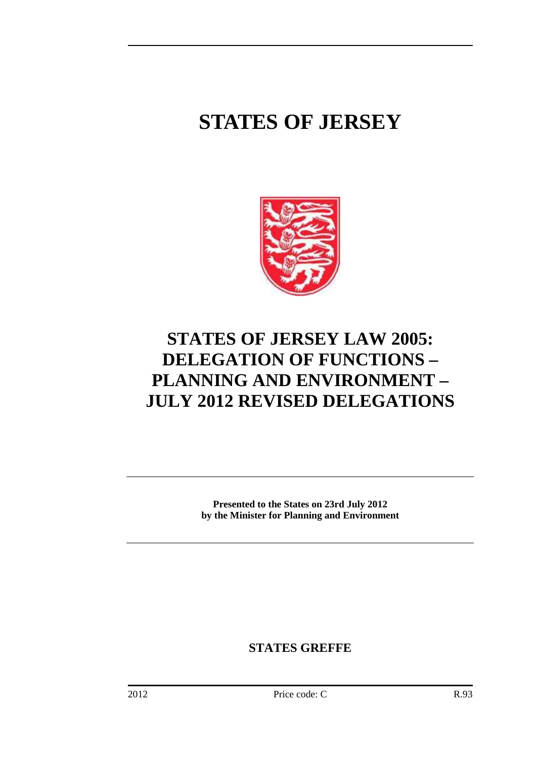# **STATES OF JERSEY**



# **STATES OF JERSEY LAW 2005: DELEGATION OF FUNCTIONS – PLANNING AND ENVIRONMENT – JULY 2012 REVISED DELEGATIONS**

**Presented to the States on 23rd July 2012 by the Minister for Planning and Environment** 

**STATES GREFFE**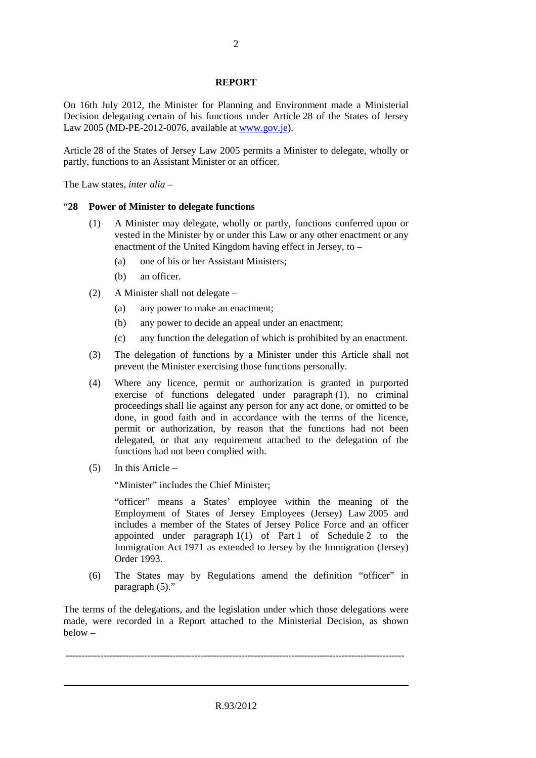#### **REPORT**

On 16th July 2012, the Minister for Planning and Environment made a Ministerial Decision delegating certain of his functions under Article 28 of the States of Jersey Law 2005 (MD-PE-2012-0076, available at www.gov.je).

Article 28 of the States of Jersey Law 2005 permits a Minister to delegate, wholly or partly, functions to an Assistant Minister or an officer.

The Law states, *inter alia* –

#### "**28 Power of Minister to delegate functions**

- (1) A Minister may delegate, wholly or partly, functions conferred upon or vested in the Minister by or under this Law or any other enactment or any enactment of the United Kingdom having effect in Jersey, to –
	- (a) one of his or her Assistant Ministers;
	- (b) an officer.
- (2) A Minister shall not delegate
	- (a) any power to make an enactment;
	- (b) any power to decide an appeal under an enactment;
	- (c) any function the delegation of which is prohibited by an enactment.
- (3) The delegation of functions by a Minister under this Article shall not prevent the Minister exercising those functions personally.
- (4) Where any licence, permit or authorization is granted in purported exercise of functions delegated under paragraph (1), no criminal proceedings shall lie against any person for any act done, or omitted to be done, in good faith and in accordance with the terms of the licence, permit or authorization, by reason that the functions had not been delegated, or that any requirement attached to the delegation of the functions had not been complied with.
- (5) In this Article –

"Minister" includes the Chief Minister;

"officer" means a States' employee within the meaning of the Employment of States of Jersey Employees (Jersey) Law 2005 and includes a member of the States of Jersey Police Force and an officer appointed under paragraph 1(1) of Part 1 of Schedule 2 to the Immigration Act 1971 as extended to Jersey by the Immigration (Jersey) Order 1993.

(6) The States may by Regulations amend the definition "officer" in paragraph (5)."

The terms of the delegations, and the legislation under which those delegations were made, were recorded in a Report attached to the Ministerial Decision, as shown below –

------------------------------------------------------------------------------------------------------------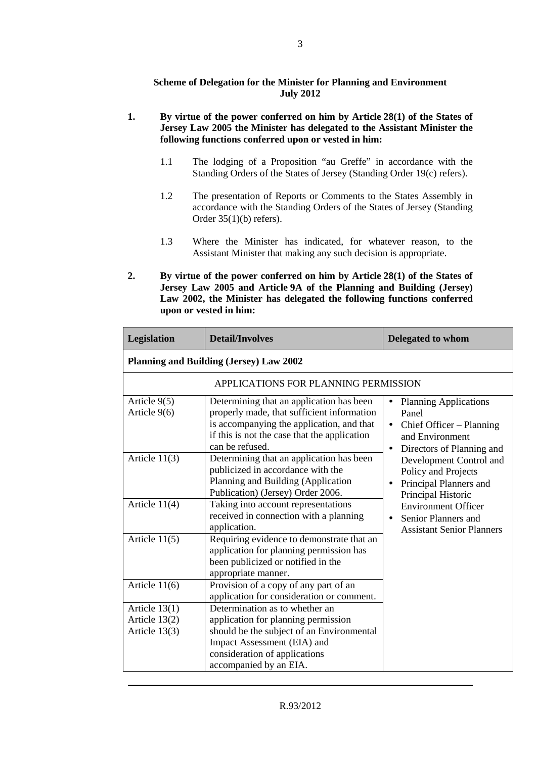## **Scheme of Delegation for the Minister for Planning and Environment July 2012**

## **1. By virtue of the power conferred on him by Article 28(1) of the States of Jersey Law 2005 the Minister has delegated to the Assistant Minister the following functions conferred upon or vested in him:**

- 1.1 The lodging of a Proposition "au Greffe" in accordance with the Standing Orders of the States of Jersey (Standing Order 19(c) refers).
- 1.2 The presentation of Reports or Comments to the States Assembly in accordance with the Standing Orders of the States of Jersey (Standing Order 35(1)(b) refers).
- 1.3 Where the Minister has indicated, for whatever reason, to the Assistant Minister that making any such decision is appropriate.
- **2. By virtue of the power conferred on him by Article 28(1) of the States of Jersey Law 2005 and Article 9A of the Planning and Building (Jersey) Law 2002, the Minister has delegated the following functions conferred upon or vested in him:**

| Legislation                                         | <b>Detail/Involves</b>                                                                                                                                                                                       | <b>Delegated to whom</b>                                                                                                       |
|-----------------------------------------------------|--------------------------------------------------------------------------------------------------------------------------------------------------------------------------------------------------------------|--------------------------------------------------------------------------------------------------------------------------------|
| <b>Planning and Building (Jersey) Law 2002</b>      |                                                                                                                                                                                                              |                                                                                                                                |
|                                                     | APPLICATIONS FOR PLANNING PERMISSION                                                                                                                                                                         |                                                                                                                                |
| Article 9(5)<br>Article 9(6)                        | Determining that an application has been<br>properly made, that sufficient information<br>is accompanying the application, and that<br>if this is not the case that the application<br>can be refused.       | <b>Planning Applications</b><br>$\bullet$<br>Panel<br>Chief Officer – Planning<br>and Environment<br>Directors of Planning and |
| Article $11(3)$                                     | Determining that an application has been<br>publicized in accordance with the<br>Planning and Building (Application<br>Publication) (Jersey) Order 2006.                                                     | Development Control and<br>Policy and Projects<br>Principal Planners and<br>$\bullet$<br>Principal Historic                    |
| Article $11(4)$                                     | Taking into account representations<br>received in connection with a planning<br>application.                                                                                                                | <b>Environment Officer</b><br>Senior Planners and<br><b>Assistant Senior Planners</b>                                          |
| Article $11(5)$                                     | Requiring evidence to demonstrate that an<br>application for planning permission has<br>been publicized or notified in the<br>appropriate manner.                                                            |                                                                                                                                |
| Article $11(6)$                                     | Provision of a copy of any part of an<br>application for consideration or comment.                                                                                                                           |                                                                                                                                |
| Article $13(1)$<br>Article 13(2)<br>Article $13(3)$ | Determination as to whether an<br>application for planning permission<br>should be the subject of an Environmental<br>Impact Assessment (EIA) and<br>consideration of applications<br>accompanied by an EIA. |                                                                                                                                |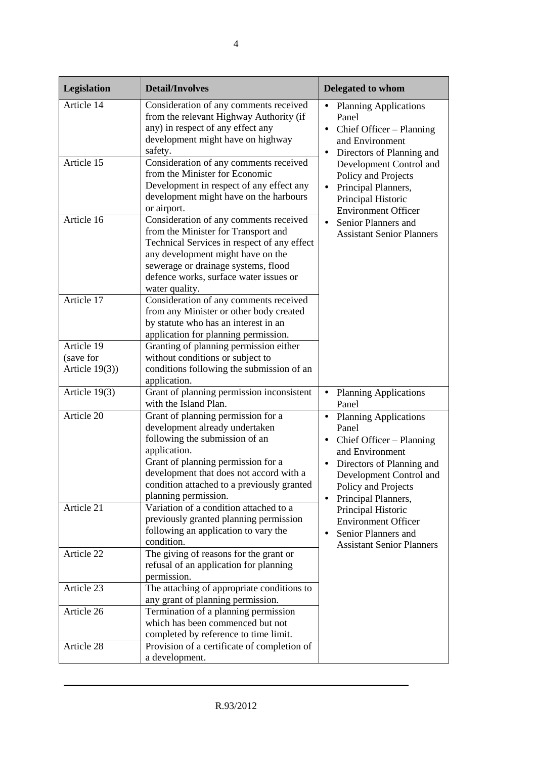| Legislation       | <b>Detail/Involves</b>                                                                                                                                                                                                                                                        | Delegated to whom                                                                                                                                                                                            |
|-------------------|-------------------------------------------------------------------------------------------------------------------------------------------------------------------------------------------------------------------------------------------------------------------------------|--------------------------------------------------------------------------------------------------------------------------------------------------------------------------------------------------------------|
| Article 14        | Consideration of any comments received<br>from the relevant Highway Authority (if<br>any) in respect of any effect any<br>development might have on highway<br>safety.                                                                                                        | <b>Planning Applications</b><br>٠<br>Panel<br>Chief Officer - Planning<br>$\bullet$<br>and Environment<br>Directors of Planning and                                                                          |
| Article 15        | Consideration of any comments received<br>from the Minister for Economic<br>Development in respect of any effect any<br>development might have on the harbours<br>or airport.                                                                                                 | Development Control and<br>Policy and Projects<br>Principal Planners,<br>$\bullet$<br>Principal Historic<br><b>Environment Officer</b>                                                                       |
| Article 16        | Consideration of any comments received<br>from the Minister for Transport and<br>Technical Services in respect of any effect<br>any development might have on the<br>sewerage or drainage systems, flood<br>defence works, surface water issues or<br>water quality.          | Senior Planners and<br>$\bullet$<br><b>Assistant Senior Planners</b>                                                                                                                                         |
| Article 17        | Consideration of any comments received<br>from any Minister or other body created<br>by statute who has an interest in an<br>application for planning permission.                                                                                                             |                                                                                                                                                                                                              |
| Article 19        | Granting of planning permission either                                                                                                                                                                                                                                        |                                                                                                                                                                                                              |
| (save for         | without conditions or subject to                                                                                                                                                                                                                                              |                                                                                                                                                                                                              |
| Article $19(3)$ ) | conditions following the submission of an<br>application.                                                                                                                                                                                                                     |                                                                                                                                                                                                              |
| Article 19(3)     | Grant of planning permission inconsistent<br>with the Island Plan.                                                                                                                                                                                                            | <b>Planning Applications</b><br>$\bullet$<br>Panel                                                                                                                                                           |
| Article 20        | Grant of planning permission for a<br>development already undertaken<br>following the submission of an<br>application.<br>Grant of planning permission for a<br>development that does not accord with a<br>condition attached to a previously granted<br>planning permission. | • Planning Applications<br>Panel<br>Chief Officer – Planning<br>٠<br>and Environment<br>Directors of Planning and<br>٠<br>Development Control and<br>Policy and Projects<br>Principal Planners,<br>$\bullet$ |
| Article 21        | Variation of a condition attached to a<br>previously granted planning permission<br>following an application to vary the<br>condition.                                                                                                                                        | Principal Historic<br><b>Environment Officer</b><br>Senior Planners and<br>$\bullet$<br><b>Assistant Senior Planners</b>                                                                                     |
| Article 22        | The giving of reasons for the grant or<br>refusal of an application for planning<br>permission.                                                                                                                                                                               |                                                                                                                                                                                                              |
| Article 23        | The attaching of appropriate conditions to<br>any grant of planning permission.                                                                                                                                                                                               |                                                                                                                                                                                                              |
| Article 26        | Termination of a planning permission                                                                                                                                                                                                                                          |                                                                                                                                                                                                              |
|                   | which has been commenced but not                                                                                                                                                                                                                                              |                                                                                                                                                                                                              |
|                   | completed by reference to time limit.                                                                                                                                                                                                                                         |                                                                                                                                                                                                              |
| Article 28        | Provision of a certificate of completion of                                                                                                                                                                                                                                   |                                                                                                                                                                                                              |
|                   | a development.                                                                                                                                                                                                                                                                |                                                                                                                                                                                                              |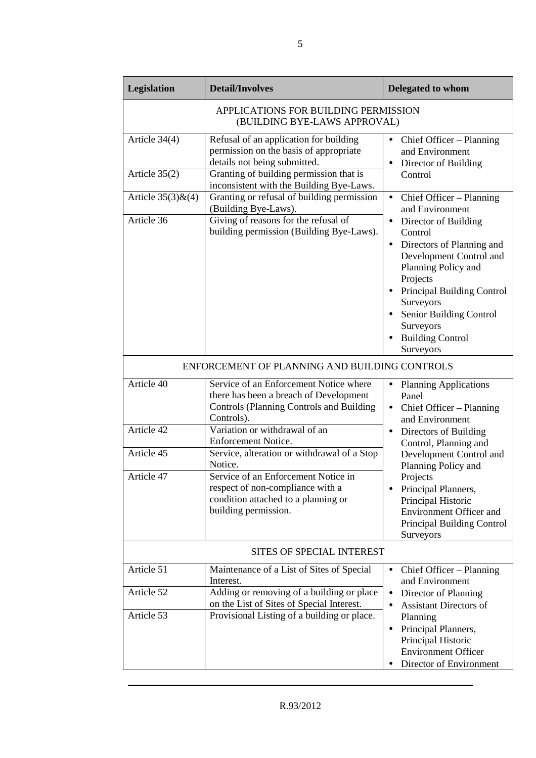| <b>Legislation</b>                                                   | <b>Detail/Involves</b>                                                                                                                            | Delegated to whom                                                                                                                                                            |
|----------------------------------------------------------------------|---------------------------------------------------------------------------------------------------------------------------------------------------|------------------------------------------------------------------------------------------------------------------------------------------------------------------------------|
| APPLICATIONS FOR BUILDING PERMISSION<br>(BUILDING BYE-LAWS APPROVAL) |                                                                                                                                                   |                                                                                                                                                                              |
| Article 34(4)                                                        | Refusal of an application for building<br>permission on the basis of appropriate<br>details not being submitted.                                  | Chief Officer - Planning<br>and Environment<br>Director of Building<br>$\bullet$                                                                                             |
| Article $35(2)$                                                      | Granting of building permission that is<br>inconsistent with the Building Bye-Laws.                                                               | Control                                                                                                                                                                      |
| Article $35(3)$ & $(4)$                                              | Granting or refusal of building permission<br>(Building Bye-Laws).                                                                                | Chief Officer - Planning<br>$\bullet$<br>and Environment                                                                                                                     |
| Article 36                                                           | Giving of reasons for the refusal of<br>building permission (Building Bye-Laws).                                                                  | Director of Building<br>Control<br>Directors of Planning and<br>$\bullet$<br>Development Control and<br>Planning Policy and<br>Projects<br><b>Principal Building Control</b> |
|                                                                      |                                                                                                                                                   | Surveyors<br>Senior Building Control<br>Surveyors<br><b>Building Control</b><br>Surveyors                                                                                    |
|                                                                      | ENFORCEMENT OF PLANNING AND BUILDING CONTROLS                                                                                                     |                                                                                                                                                                              |
| Article 40                                                           | Service of an Enforcement Notice where<br>there has been a breach of Development<br><b>Controls (Planning Controls and Building</b><br>Controls). | <b>Planning Applications</b><br>$\bullet$<br>Panel<br>Chief Officer – Planning<br>and Environment                                                                            |
| Article 42                                                           | Variation or withdrawal of an<br>Enforcement Notice.                                                                                              | Directors of Building<br>Control, Planning and                                                                                                                               |
| Article 45                                                           | Service, alteration or withdrawal of a Stop<br>Notice.                                                                                            | Development Control and<br>Planning Policy and                                                                                                                               |
| Article 47                                                           | Service of an Enforcement Notice in<br>respect of non-compliance with a<br>condition attached to a planning or<br>building permission.            | Projects<br>Principal Planners,<br>Principal Historic<br><b>Environment Officer and</b><br>Principal Building Control<br>Surveyors                                           |
| SITES OF SPECIAL INTEREST                                            |                                                                                                                                                   |                                                                                                                                                                              |
| Article 51                                                           | Maintenance of a List of Sites of Special<br>Interest.                                                                                            | Chief Officer – Planning<br>$\bullet$<br>and Environment                                                                                                                     |
| Article 52                                                           | Adding or removing of a building or place<br>on the List of Sites of Special Interest.                                                            | Director of Planning<br><b>Assistant Directors of</b>                                                                                                                        |
| Article 53                                                           | Provisional Listing of a building or place.                                                                                                       | Planning<br>Principal Planners,<br>$\bullet$<br>Principal Historic<br><b>Environment Officer</b><br>Director of Environment                                                  |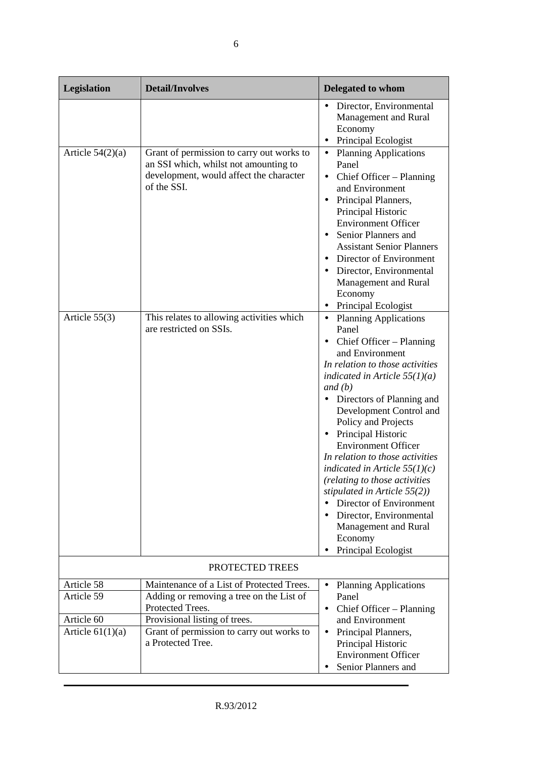| Legislation                      | <b>Detail/Involves</b>                                                                                                                       | <b>Delegated to whom</b>                                                                                                                                                                                                                                                                                                                                                                                                                                                                                                                                                                                    |
|----------------------------------|----------------------------------------------------------------------------------------------------------------------------------------------|-------------------------------------------------------------------------------------------------------------------------------------------------------------------------------------------------------------------------------------------------------------------------------------------------------------------------------------------------------------------------------------------------------------------------------------------------------------------------------------------------------------------------------------------------------------------------------------------------------------|
|                                  |                                                                                                                                              | Director, Environmental<br>$\bullet$<br>Management and Rural<br>Economy<br>Principal Ecologist                                                                                                                                                                                                                                                                                                                                                                                                                                                                                                              |
| Article $54(2)(a)$               | Grant of permission to carry out works to<br>an SSI which, whilst not amounting to<br>development, would affect the character<br>of the SSI. | <b>Planning Applications</b><br>$\bullet$<br>Panel<br>Chief Officer – Planning<br>$\bullet$<br>and Environment<br>Principal Planners,<br>Principal Historic<br><b>Environment Officer</b><br>Senior Planners and<br>$\bullet$<br><b>Assistant Senior Planners</b><br>Director of Environment<br>Director, Environmental<br>٠<br>Management and Rural<br>Economy<br>Principal Ecologist<br>$\bullet$                                                                                                                                                                                                         |
| Article 55(3)                    | This relates to allowing activities which<br>are restricted on SSIs.                                                                         | <b>Planning Applications</b><br>$\bullet$<br>Panel<br>Chief Officer – Planning<br>$\bullet$<br>and Environment<br>In relation to those activities<br>indicated in Article $55(1)(a)$<br>and (b)<br>• Directors of Planning and<br>Development Control and<br>Policy and Projects<br>Principal Historic<br>$\bullet$<br><b>Environment Officer</b><br>In relation to those activities<br>indicated in Article $55(1)(c)$<br>(relating to those activities<br>stipulated in Article $55(2)$ )<br>Director of Environment<br>Director, Environmental<br>Management and Rural<br>Economy<br>Principal Ecologist |
|                                  | PROTECTED TREES                                                                                                                              |                                                                                                                                                                                                                                                                                                                                                                                                                                                                                                                                                                                                             |
| Article 58<br>Article 59         | Maintenance of a List of Protected Trees.<br>Adding or removing a tree on the List of<br>Protected Trees.                                    | <b>Planning Applications</b><br>$\bullet$<br>Panel<br>Chief Officer - Planning<br>$\bullet$                                                                                                                                                                                                                                                                                                                                                                                                                                                                                                                 |
| Article 60<br>Article $61(1)(a)$ | Provisional listing of trees.<br>Grant of permission to carry out works to<br>a Protected Tree.                                              | and Environment<br>Principal Planners,<br>$\bullet$<br>Principal Historic<br><b>Environment Officer</b><br>Senior Planners and                                                                                                                                                                                                                                                                                                                                                                                                                                                                              |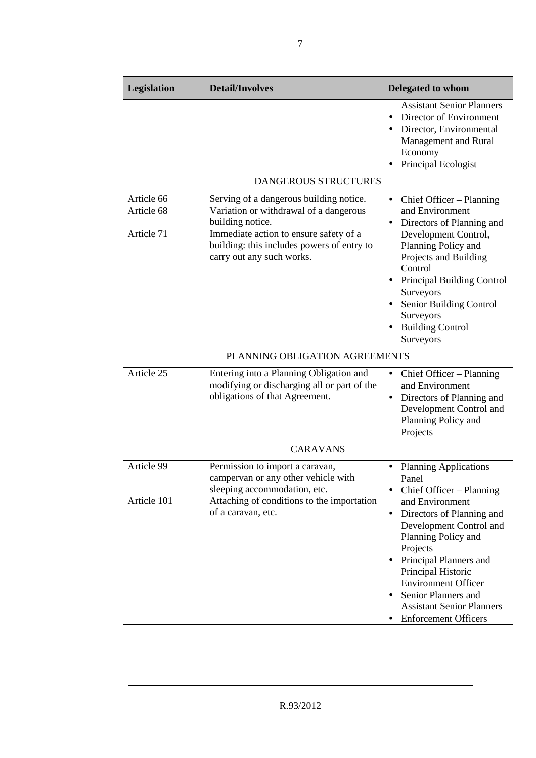| <b>Legislation</b>       | <b>Detail/Involves</b>                                                                                                   | <b>Delegated to whom</b>                                                                                                                                                                                                                                                                        |
|--------------------------|--------------------------------------------------------------------------------------------------------------------------|-------------------------------------------------------------------------------------------------------------------------------------------------------------------------------------------------------------------------------------------------------------------------------------------------|
|                          |                                                                                                                          | <b>Assistant Senior Planners</b><br>Director of Environment<br>Director, Environmental<br>Management and Rural<br>Economy<br>Principal Ecologist                                                                                                                                                |
|                          | <b>DANGEROUS STRUCTURES</b>                                                                                              |                                                                                                                                                                                                                                                                                                 |
| Article 66<br>Article 68 | Serving of a dangerous building notice.<br>Variation or withdrawal of a dangerous<br>building notice.                    | Chief Officer – Planning<br>$\bullet$<br>and Environment<br>Directors of Planning and<br>$\bullet$                                                                                                                                                                                              |
| Article 71               | Immediate action to ensure safety of a<br>building: this includes powers of entry to<br>carry out any such works.        | Development Control,<br>Planning Policy and<br>Projects and Building<br>Control<br>Principal Building Control<br>Surveyors<br>Senior Building Control<br>Surveyors<br><b>Building Control</b><br>Surveyors                                                                                      |
|                          | PLANNING OBLIGATION AGREEMENTS                                                                                           |                                                                                                                                                                                                                                                                                                 |
| Article 25               | Entering into a Planning Obligation and<br>modifying or discharging all or part of the<br>obligations of that Agreement. | Chief Officer – Planning<br>$\bullet$<br>and Environment<br>• Directors of Planning and<br>Development Control and<br>Planning Policy and<br>Projects                                                                                                                                           |
|                          | <b>CARAVANS</b>                                                                                                          |                                                                                                                                                                                                                                                                                                 |
| Article 99               | Permission to import a caravan,<br>campervan or any other vehicle with<br>sleeping accommodation, etc.                   | <b>Planning Applications</b><br>$\bullet$<br>Panel<br>Chief Officer – Planning                                                                                                                                                                                                                  |
| Article 101              | Attaching of conditions to the importation<br>of a caravan, etc.                                                         | and Environment<br>Directors of Planning and<br>$\bullet$<br>Development Control and<br>Planning Policy and<br>Projects<br>Principal Planners and<br>Principal Historic<br><b>Environment Officer</b><br>Senior Planners and<br><b>Assistant Senior Planners</b><br><b>Enforcement Officers</b> |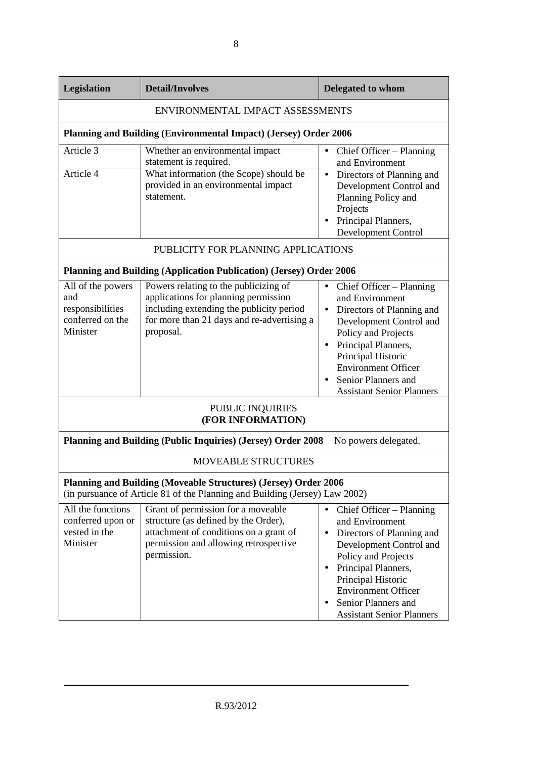| Legislation                                                                                                                                           | <b>Detail/Involves</b>                                                                                                                                                               | <b>Delegated to whom</b>                                                                                                                                                                                                                                                                   |
|-------------------------------------------------------------------------------------------------------------------------------------------------------|--------------------------------------------------------------------------------------------------------------------------------------------------------------------------------------|--------------------------------------------------------------------------------------------------------------------------------------------------------------------------------------------------------------------------------------------------------------------------------------------|
|                                                                                                                                                       | ENVIRONMENTAL IMPACT ASSESSMENTS                                                                                                                                                     |                                                                                                                                                                                                                                                                                            |
|                                                                                                                                                       | <b>Planning and Building (Environmental Impact) (Jersey) Order 2006</b>                                                                                                              |                                                                                                                                                                                                                                                                                            |
| Article 3<br>Article 4                                                                                                                                | Whether an environmental impact<br>statement is required.<br>What information (the Scope) should be<br>provided in an environmental impact<br>statement.                             | Chief Officer – Planning<br>$\bullet$<br>and Environment<br>Directors of Planning and<br>$\bullet$<br>Development Control and<br>Planning Policy and<br>Projects<br>Principal Planners,<br><b>Development Control</b>                                                                      |
|                                                                                                                                                       | PUBLICITY FOR PLANNING APPLICATIONS                                                                                                                                                  |                                                                                                                                                                                                                                                                                            |
|                                                                                                                                                       | <b>Planning and Building (Application Publication) (Jersey) Order 2006</b>                                                                                                           |                                                                                                                                                                                                                                                                                            |
| All of the powers<br>and<br>responsibilities<br>conferred on the<br>Minister                                                                          | Powers relating to the publicizing of<br>applications for planning permission<br>including extending the publicity period<br>for more than 21 days and re-advertising a<br>proposal. | Chief Officer – Planning<br>$\bullet$<br>and Environment<br>Directors of Planning and<br>$\bullet$<br>Development Control and<br>Policy and Projects<br>Principal Planners,<br>Principal Historic<br><b>Environment Officer</b><br>Senior Planners and<br><b>Assistant Senior Planners</b> |
|                                                                                                                                                       | PUBLIC INQUIRIES<br>(FOR INFORMATION)                                                                                                                                                |                                                                                                                                                                                                                                                                                            |
|                                                                                                                                                       | <b>Planning and Building (Public Inquiries) (Jersey) Order 2008</b>                                                                                                                  | No powers delegated.                                                                                                                                                                                                                                                                       |
|                                                                                                                                                       | <b>MOVEABLE STRUCTURES</b>                                                                                                                                                           |                                                                                                                                                                                                                                                                                            |
| <b>Planning and Building (Moveable Structures) (Jersey) Order 2006</b><br>(in pursuance of Article 81 of the Planning and Building (Jersey) Law 2002) |                                                                                                                                                                                      |                                                                                                                                                                                                                                                                                            |
| All the functions<br>conferred upon or<br>vested in the<br>Minister                                                                                   | Grant of permission for a moveable<br>structure (as defined by the Order),<br>attachment of conditions on a grant of<br>permission and allowing retrospective<br>permission.         | Chief Officer - Planning<br>$\bullet$<br>and Environment<br>Directors of Planning and<br>$\bullet$<br>Development Control and<br>Policy and Projects<br>Principal Planners,<br>Principal Historic<br><b>Environment Officer</b><br>Senior Planners and<br><b>Assistant Senior Planners</b> |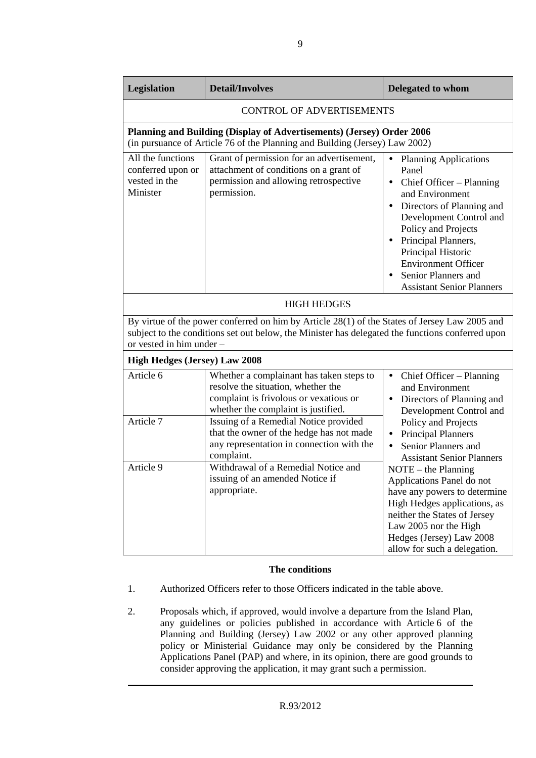| Legislation                                                                                                                                                                                                                   | <b>Detail/Involves</b>                                                                                                                               | Delegated to whom                                                                                                                                                                                                                                                                                                      |
|-------------------------------------------------------------------------------------------------------------------------------------------------------------------------------------------------------------------------------|------------------------------------------------------------------------------------------------------------------------------------------------------|------------------------------------------------------------------------------------------------------------------------------------------------------------------------------------------------------------------------------------------------------------------------------------------------------------------------|
|                                                                                                                                                                                                                               | <b>CONTROL OF ADVERTISEMENTS</b>                                                                                                                     |                                                                                                                                                                                                                                                                                                                        |
|                                                                                                                                                                                                                               | Planning and Building (Display of Advertisements) (Jersey) Order 2006<br>(in pursuance of Article 76 of the Planning and Building (Jersey) Law 2002) |                                                                                                                                                                                                                                                                                                                        |
| All the functions<br>conferred upon or<br>vested in the<br>Minister                                                                                                                                                           | Grant of permission for an advertisement,<br>attachment of conditions on a grant of<br>permission and allowing retrospective<br>permission.          | <b>Planning Applications</b><br>$\bullet$<br>Panel<br>Chief Officer – Planning<br>and Environment<br>Directors of Planning and<br>Development Control and<br>Policy and Projects<br>Principal Planners,<br>Principal Historic<br><b>Environment Officer</b><br>Senior Planners and<br><b>Assistant Senior Planners</b> |
| <b>HIGH HEDGES</b>                                                                                                                                                                                                            |                                                                                                                                                      |                                                                                                                                                                                                                                                                                                                        |
| By virtue of the power conferred on him by Article 28(1) of the States of Jersey Law 2005 and<br>subject to the conditions set out below, the Minister has delegated the functions conferred upon<br>or vested in him under - |                                                                                                                                                      |                                                                                                                                                                                                                                                                                                                        |
| <b>High Hedges (Jersey) Law 2008</b>                                                                                                                                                                                          |                                                                                                                                                      |                                                                                                                                                                                                                                                                                                                        |
| Article 6                                                                                                                                                                                                                     | Whether a complainant has taken steps to<br>resolve the situation, whether the<br>complaint is frivolous or vexatious or                             | Chief Officer – Planning<br>$\bullet$<br>and Environment<br>Directors of Planning and                                                                                                                                                                                                                                  |

|           | resolve the situation, whether the        | and Environment                        |
|-----------|-------------------------------------------|----------------------------------------|
|           | complaint is frivolous or vexatious or    | Directors of Planning and<br>$\bullet$ |
|           | whether the complaint is justified.       | Development Control and                |
| Article 7 | Issuing of a Remedial Notice provided     | Policy and Projects                    |
|           | that the owner of the hedge has not made  | <b>Principal Planners</b><br>$\bullet$ |
|           | any representation in connection with the | Senior Planners and<br>$\bullet$       |
|           | complaint.                                | <b>Assistant Senior Planners</b>       |
| Article 9 | Withdrawal of a Remedial Notice and       | $NOTE - the Planning$                  |
|           | issuing of an amended Notice if           | Applications Panel do not              |
|           | appropriate.                              | have any powers to determine           |
|           |                                           | High Hedges applications, as           |
|           |                                           | neither the States of Jersey           |
|           |                                           | Law 2005 nor the High                  |
|           |                                           | Hedges (Jersey) Law 2008               |
|           |                                           | allow for such a delegation.           |

#### **The conditions**

- 1. Authorized Officers refer to those Officers indicated in the table above.
- 2. Proposals which, if approved, would involve a departure from the Island Plan, any guidelines or policies published in accordance with Article 6 of the Planning and Building (Jersey) Law 2002 or any other approved planning policy or Ministerial Guidance may only be considered by the Planning Applications Panel (PAP) and where, in its opinion, there are good grounds to consider approving the application, it may grant such a permission.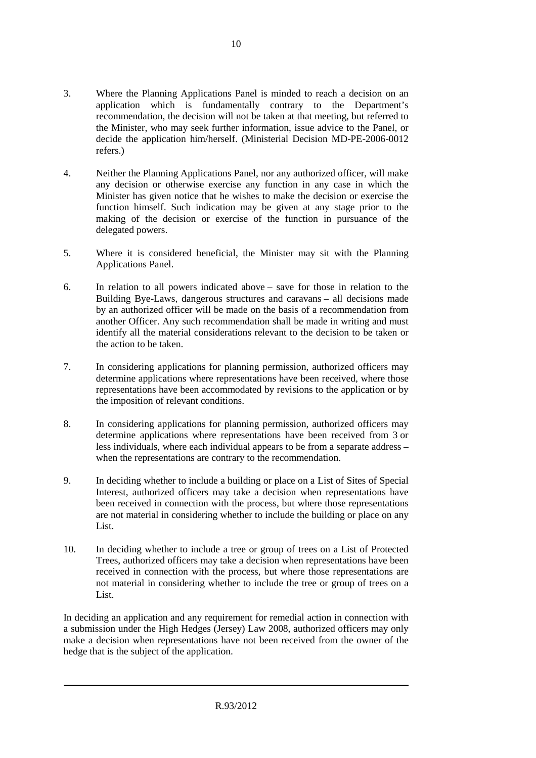- 3. Where the Planning Applications Panel is minded to reach a decision on an application which is fundamentally contrary to the Department's recommendation, the decision will not be taken at that meeting, but referred to the Minister, who may seek further information, issue advice to the Panel, or decide the application him/herself. (Ministerial Decision MD-PE-2006-0012 refers.)
- 4. Neither the Planning Applications Panel, nor any authorized officer, will make any decision or otherwise exercise any function in any case in which the Minister has given notice that he wishes to make the decision or exercise the function himself. Such indication may be given at any stage prior to the making of the decision or exercise of the function in pursuance of the delegated powers.
- 5. Where it is considered beneficial, the Minister may sit with the Planning Applications Panel.
- 6. In relation to all powers indicated above save for those in relation to the Building Bye-Laws, dangerous structures and caravans – all decisions made by an authorized officer will be made on the basis of a recommendation from another Officer. Any such recommendation shall be made in writing and must identify all the material considerations relevant to the decision to be taken or the action to be taken.
- 7. In considering applications for planning permission, authorized officers may determine applications where representations have been received, where those representations have been accommodated by revisions to the application or by the imposition of relevant conditions.
- 8. In considering applications for planning permission, authorized officers may determine applications where representations have been received from 3 or less individuals, where each individual appears to be from a separate address – when the representations are contrary to the recommendation.
- 9. In deciding whether to include a building or place on a List of Sites of Special Interest, authorized officers may take a decision when representations have been received in connection with the process, but where those representations are not material in considering whether to include the building or place on any List.
- 10. In deciding whether to include a tree or group of trees on a List of Protected Trees, authorized officers may take a decision when representations have been received in connection with the process, but where those representations are not material in considering whether to include the tree or group of trees on a List.

In deciding an application and any requirement for remedial action in connection with a submission under the High Hedges (Jersey) Law 2008, authorized officers may only make a decision when representations have not been received from the owner of the hedge that is the subject of the application.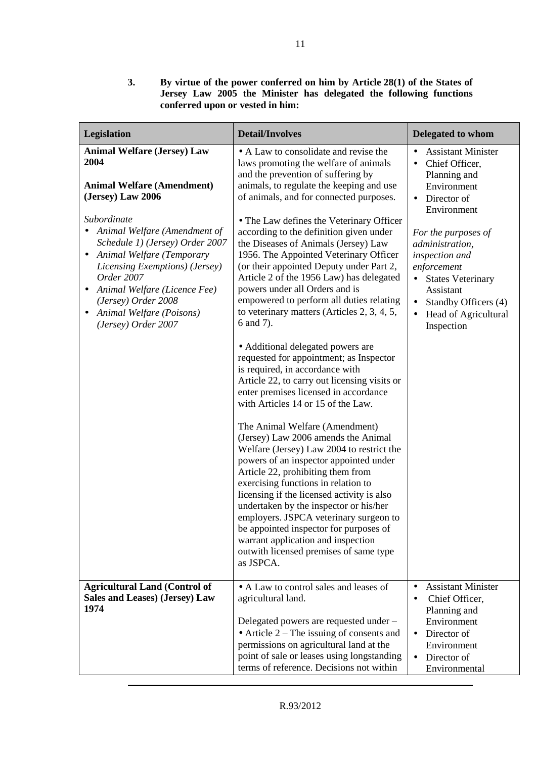| Legislation                                                                                                                                                                                                                                                                                                                                                                                             | <b>Detail/Involves</b>                                                                                                                                                                                                                                                                                                                                                                                                                                                                                                                                                                                                                                                                                                                                                                                                                                                                                                                                                                                                                                                                                                                                                                                                                                                                                                                                                                        | <b>Delegated to whom</b>                                                                                                                                                                                                                                                                                                                                    |
|---------------------------------------------------------------------------------------------------------------------------------------------------------------------------------------------------------------------------------------------------------------------------------------------------------------------------------------------------------------------------------------------------------|-----------------------------------------------------------------------------------------------------------------------------------------------------------------------------------------------------------------------------------------------------------------------------------------------------------------------------------------------------------------------------------------------------------------------------------------------------------------------------------------------------------------------------------------------------------------------------------------------------------------------------------------------------------------------------------------------------------------------------------------------------------------------------------------------------------------------------------------------------------------------------------------------------------------------------------------------------------------------------------------------------------------------------------------------------------------------------------------------------------------------------------------------------------------------------------------------------------------------------------------------------------------------------------------------------------------------------------------------------------------------------------------------|-------------------------------------------------------------------------------------------------------------------------------------------------------------------------------------------------------------------------------------------------------------------------------------------------------------------------------------------------------------|
| <b>Animal Welfare (Jersey) Law</b><br>2004<br><b>Animal Welfare (Amendment)</b><br>(Jersey) Law 2006<br>Subordinate<br>Animal Welfare (Amendment of<br>Schedule 1) (Jersey) Order 2007<br>Animal Welfare (Temporary<br>$\bullet$<br>Licensing Exemptions) (Jersey)<br>Order 2007<br>Animal Welfare (Licence Fee)<br>$\bullet$<br>(Jersey) Order 2008<br>Animal Welfare (Poisons)<br>(Jersey) Order 2007 | • A Law to consolidate and revise the<br>laws promoting the welfare of animals<br>and the prevention of suffering by<br>animals, to regulate the keeping and use<br>of animals, and for connected purposes.<br>• The Law defines the Veterinary Officer<br>according to the definition given under<br>the Diseases of Animals (Jersey) Law<br>1956. The Appointed Veterinary Officer<br>(or their appointed Deputy under Part 2,<br>Article 2 of the 1956 Law) has delegated<br>powers under all Orders and is<br>empowered to perform all duties relating<br>to veterinary matters (Articles 2, 3, 4, 5,<br>6 and 7).<br>• Additional delegated powers are<br>requested for appointment; as Inspector<br>is required, in accordance with<br>Article 22, to carry out licensing visits or<br>enter premises licensed in accordance<br>with Articles 14 or 15 of the Law.<br>The Animal Welfare (Amendment)<br>(Jersey) Law 2006 amends the Animal<br>Welfare (Jersey) Law 2004 to restrict the<br>powers of an inspector appointed under<br>Article 22, prohibiting them from<br>exercising functions in relation to<br>licensing if the licensed activity is also<br>undertaken by the inspector or his/her<br>employers. JSPCA veterinary surgeon to<br>be appointed inspector for purposes of<br>warrant application and inspection<br>outwith licensed premises of same type<br>as JSPCA. | <b>Assistant Minister</b><br>$\bullet$<br>Chief Officer,<br>$\bullet$<br>Planning and<br>Environment<br>Director of<br>$\bullet$<br>Environment<br>For the purposes of<br>administration,<br>inspection and<br>enforcement<br><b>States Veterinary</b><br>$\bullet$<br>Assistant<br>Standby Officers (4)<br>Head of Agricultural<br>$\bullet$<br>Inspection |
| <b>Agricultural Land (Control of</b><br>Sales and Leases) (Jersey) Law<br>1974                                                                                                                                                                                                                                                                                                                          | • A Law to control sales and leases of<br>agricultural land.<br>Delegated powers are requested under -<br>• Article $2$ – The issuing of consents and<br>permissions on agricultural land at the<br>point of sale or leases using longstanding<br>terms of reference. Decisions not within                                                                                                                                                                                                                                                                                                                                                                                                                                                                                                                                                                                                                                                                                                                                                                                                                                                                                                                                                                                                                                                                                                    | <b>Assistant Minister</b><br>$\bullet$<br>Chief Officer,<br>$\bullet$<br>Planning and<br>Environment<br>Director of<br>$\bullet$<br>Environment<br>Director of<br>$\bullet$<br>Environmental                                                                                                                                                                |

**3. By virtue of the power conferred on him by Article 28(1) of the States of Jersey Law 2005 the Minister has delegated the following functions conferred upon or vested in him:**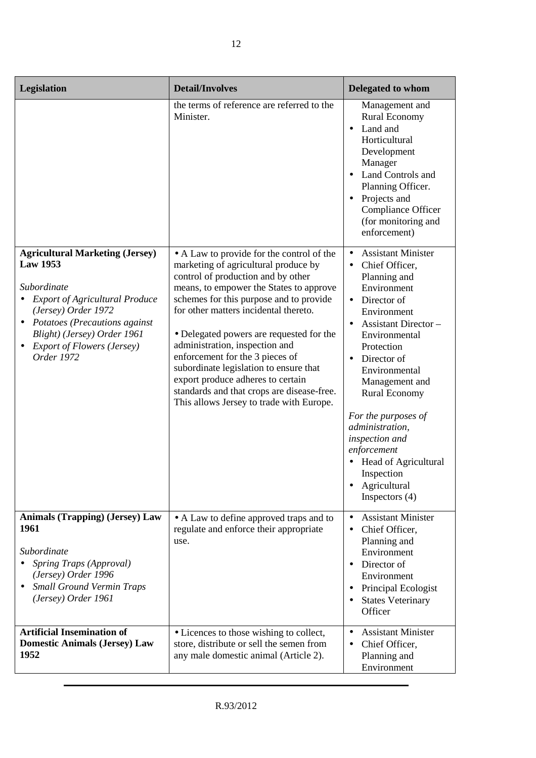| Legislation                                                                                                                                                                                                                                                   | <b>Detail/Involves</b>                                                                                                                                                                                                                                                                                                                                                                                                                                                                                                                           | Delegated to whom                                                                                                                                                                                                                                                                                                                                                                             |
|---------------------------------------------------------------------------------------------------------------------------------------------------------------------------------------------------------------------------------------------------------------|--------------------------------------------------------------------------------------------------------------------------------------------------------------------------------------------------------------------------------------------------------------------------------------------------------------------------------------------------------------------------------------------------------------------------------------------------------------------------------------------------------------------------------------------------|-----------------------------------------------------------------------------------------------------------------------------------------------------------------------------------------------------------------------------------------------------------------------------------------------------------------------------------------------------------------------------------------------|
|                                                                                                                                                                                                                                                               | the terms of reference are referred to the<br>Minister.                                                                                                                                                                                                                                                                                                                                                                                                                                                                                          | Management and<br><b>Rural Economy</b><br>Land and<br>$\bullet$<br>Horticultural<br>Development<br>Manager<br>Land Controls and<br>Planning Officer.<br>Projects and<br>Compliance Officer<br>(for monitoring and<br>enforcement)                                                                                                                                                             |
| <b>Agricultural Marketing (Jersey)</b><br><b>Law 1953</b><br>Subordinate<br><b>Export of Agricultural Produce</b><br>(Jersey) Order 1972<br>• Potatoes (Precautions against<br>Blight) (Jersey) Order 1961<br><b>Export of Flowers (Jersey)</b><br>Order 1972 | • A Law to provide for the control of the<br>marketing of agricultural produce by<br>control of production and by other<br>means, to empower the States to approve<br>schemes for this purpose and to provide<br>for other matters incidental thereto.<br>• Delegated powers are requested for the<br>administration, inspection and<br>enforcement for the 3 pieces of<br>subordinate legislation to ensure that<br>export produce adheres to certain<br>standards and that crops are disease-free.<br>This allows Jersey to trade with Europe. | <b>Assistant Minister</b><br>Chief Officer,<br>Planning and<br>Environment<br>Director of<br>Environment<br>Assistant Director-<br>Environmental<br>Protection<br>Director of<br>Environmental<br>Management and<br><b>Rural Economy</b><br>For the purposes of<br>administration,<br>inspection and<br>enforcement<br>Head of Agricultural<br>Inspection<br>Agricultural<br>Inspectors $(4)$ |
| <b>Animals (Trapping) (Jersey) Law</b><br>1961<br>Subordinate<br>Spring Traps (Approval)<br>(Jersey) Order 1996<br><b>Small Ground Vermin Traps</b><br>(Jersey) Order 1961                                                                                    | • A Law to define approved traps and to<br>regulate and enforce their appropriate<br>use.                                                                                                                                                                                                                                                                                                                                                                                                                                                        | <b>Assistant Minister</b><br>Chief Officer,<br>Planning and<br>Environment<br>Director of<br>Environment<br>Principal Ecologist<br><b>States Veterinary</b><br>Officer                                                                                                                                                                                                                        |
| <b>Artificial Insemination of</b><br><b>Domestic Animals (Jersey) Law</b><br>1952                                                                                                                                                                             | • Licences to those wishing to collect,<br>store, distribute or sell the semen from<br>any male domestic animal (Article 2).                                                                                                                                                                                                                                                                                                                                                                                                                     | <b>Assistant Minister</b><br>Chief Officer,<br>Planning and<br>Environment                                                                                                                                                                                                                                                                                                                    |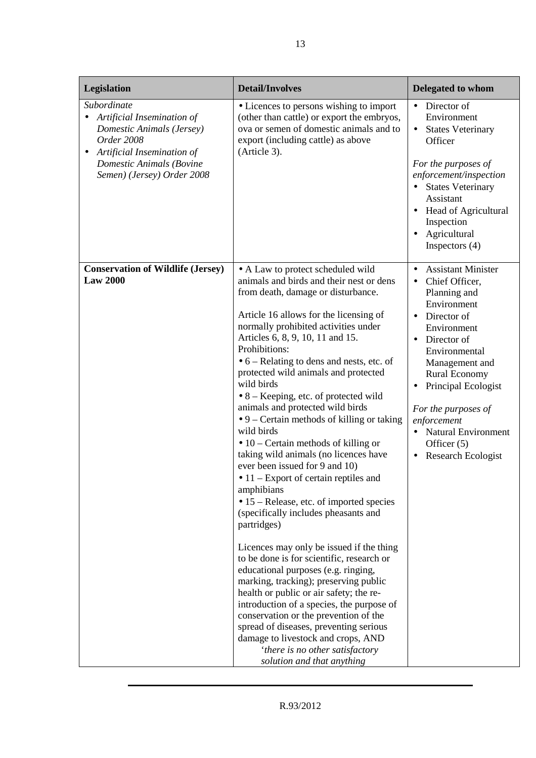| Legislation                                                                                                                                                                       | <b>Detail/Involves</b>                                                                                                                                                                                                                                                                                                                                                                                                                                                                                                                                                                                                                                                                                                                                                                                                                                                                                                                                                                                                                                                                                                                                                                                                                                                                 | <b>Delegated to whom</b>                                                                                                                                                                                                                                                                                                                                                              |
|-----------------------------------------------------------------------------------------------------------------------------------------------------------------------------------|----------------------------------------------------------------------------------------------------------------------------------------------------------------------------------------------------------------------------------------------------------------------------------------------------------------------------------------------------------------------------------------------------------------------------------------------------------------------------------------------------------------------------------------------------------------------------------------------------------------------------------------------------------------------------------------------------------------------------------------------------------------------------------------------------------------------------------------------------------------------------------------------------------------------------------------------------------------------------------------------------------------------------------------------------------------------------------------------------------------------------------------------------------------------------------------------------------------------------------------------------------------------------------------|---------------------------------------------------------------------------------------------------------------------------------------------------------------------------------------------------------------------------------------------------------------------------------------------------------------------------------------------------------------------------------------|
| Subordinate<br>Artificial Insemination of<br>Domestic Animals (Jersey)<br>Order 2008<br>Artificial Insemination of<br>٠<br>Domestic Animals (Bovine<br>Semen) (Jersey) Order 2008 | • Licences to persons wishing to import<br>(other than cattle) or export the embryos,<br>ova or semen of domestic animals and to<br>export (including cattle) as above<br>(Article 3).                                                                                                                                                                                                                                                                                                                                                                                                                                                                                                                                                                                                                                                                                                                                                                                                                                                                                                                                                                                                                                                                                                 | Director of<br>$\bullet$<br>Environment<br><b>States Veterinary</b><br>$\bullet$<br>Officer<br>For the purposes of<br>enforcement/inspection<br><b>States Veterinary</b><br>Assistant<br><b>Head of Agricultural</b><br>Inspection<br>Agricultural<br>Inspectors $(4)$                                                                                                                |
| <b>Conservation of Wildlife (Jersey)</b><br><b>Law 2000</b>                                                                                                                       | • A Law to protect scheduled wild<br>animals and birds and their nest or dens<br>from death, damage or disturbance.<br>Article 16 allows for the licensing of<br>normally prohibited activities under<br>Articles 6, 8, 9, 10, 11 and 15.<br>Prohibitions:<br>$\bullet$ 6 – Relating to dens and nests, etc. of<br>protected wild animals and protected<br>wild birds<br>$\bullet$ 8 – Keeping, etc. of protected wild<br>animals and protected wild birds<br>$\bullet$ 9 – Certain methods of killing or taking<br>wild birds<br>$\bullet$ 10 – Certain methods of killing or<br>taking wild animals (no licences have<br>ever been issued for 9 and 10)<br>$\bullet$ 11 – Export of certain reptiles and<br>amphibians<br>• 15 – Release, etc. of imported species<br>(specifically includes pheasants and<br>partridges)<br>Licences may only be issued if the thing<br>to be done is for scientific, research or<br>educational purposes (e.g. ringing,<br>marking, tracking); preserving public<br>health or public or air safety; the re-<br>introduction of a species, the purpose of<br>conservation or the prevention of the<br>spread of diseases, preventing serious<br>damage to livestock and crops, AND<br>'there is no other satisfactory<br>solution and that anything | <b>Assistant Minister</b><br>$\bullet$<br>Chief Officer,<br>$\bullet$<br>Planning and<br>Environment<br>Director of<br>$\bullet$<br>Environment<br>Director of<br>$\bullet$<br>Environmental<br>Management and<br><b>Rural Economy</b><br>Principal Ecologist<br>For the purposes of<br>enforcement<br><b>Natural Environment</b><br>Officer $(5)$<br>Research Ecologist<br>$\bullet$ |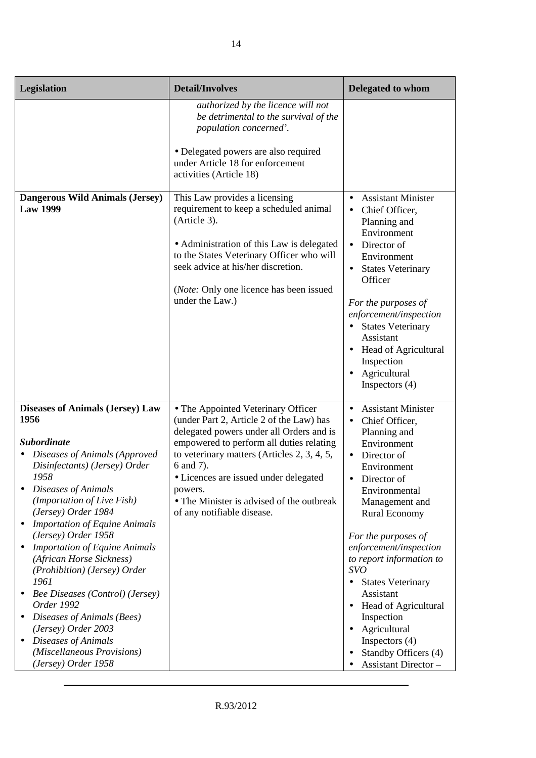| <b>Legislation</b>                                                                                                                                                                                                                                                                                                                                                                                                                                                                                                                                                                              | <b>Detail/Involves</b>                                                                                                                                                                                                                                                                                                                                            | Delegated to whom                                                                                                                                                                                                                                                                                                                                                                                                                                                         |
|-------------------------------------------------------------------------------------------------------------------------------------------------------------------------------------------------------------------------------------------------------------------------------------------------------------------------------------------------------------------------------------------------------------------------------------------------------------------------------------------------------------------------------------------------------------------------------------------------|-------------------------------------------------------------------------------------------------------------------------------------------------------------------------------------------------------------------------------------------------------------------------------------------------------------------------------------------------------------------|---------------------------------------------------------------------------------------------------------------------------------------------------------------------------------------------------------------------------------------------------------------------------------------------------------------------------------------------------------------------------------------------------------------------------------------------------------------------------|
|                                                                                                                                                                                                                                                                                                                                                                                                                                                                                                                                                                                                 | authorized by the licence will not<br>be detrimental to the survival of the<br>population concerned'.<br>· Delegated powers are also required<br>under Article 18 for enforcement<br>activities (Article 18)                                                                                                                                                      |                                                                                                                                                                                                                                                                                                                                                                                                                                                                           |
| <b>Dangerous Wild Animals (Jersey)</b><br><b>Law 1999</b>                                                                                                                                                                                                                                                                                                                                                                                                                                                                                                                                       | This Law provides a licensing<br>requirement to keep a scheduled animal<br>(Article 3).<br>• Administration of this Law is delegated<br>to the States Veterinary Officer who will<br>seek advice at his/her discretion.<br>( <i>Note:</i> Only one licence has been issued<br>under the Law.)                                                                     | <b>Assistant Minister</b><br>$\bullet$<br>Chief Officer,<br>Planning and<br>Environment<br>Director of<br>$\bullet$<br>Environment<br><b>States Veterinary</b><br>Officer<br>For the purposes of<br>enforcement/inspection<br>• States Veterinary<br>Assistant<br>Head of Agricultural<br>Inspection<br>Agricultural<br>Inspectors $(4)$                                                                                                                                  |
| <b>Diseases of Animals (Jersey) Law</b><br>1956<br><b>Subordinate</b><br>Diseases of Animals (Approved<br>Disinfectants) (Jersey) Order<br>1958<br>Diseases of Animals<br>(Importation of Live Fish)<br>(Jersey) Order 1984<br><b>Importation of Equine Animals</b><br>(Jersey) Order 1958<br><b>Importation of Equine Animals</b><br>(African Horse Sickness)<br>(Prohibition) (Jersey) Order<br>1961<br><b>Bee Diseases (Control) (Jersey)</b><br>Order 1992<br>Diseases of Animals (Bees)<br>(Jersey) Order 2003<br>Diseases of Animals<br>(Miscellaneous Provisions)<br>(Jersey) Order 1958 | • The Appointed Veterinary Officer<br>(under Part 2, Article 2 of the Law) has<br>delegated powers under all Orders and is<br>empowered to perform all duties relating<br>to veterinary matters (Articles 2, 3, 4, 5,<br>6 and 7).<br>• Licences are issued under delegated<br>powers.<br>• The Minister is advised of the outbreak<br>of any notifiable disease. | <b>Assistant Minister</b><br>Chief Officer,<br>$\bullet$<br>Planning and<br>Environment<br>Director of<br>$\bullet$<br>Environment<br>Director of<br>Environmental<br>Management and<br><b>Rural Economy</b><br>For the purposes of<br>enforcement/inspection<br>to report information to<br><b>SVO</b><br><b>States Veterinary</b><br>Assistant<br>Head of Agricultural<br>Inspection<br>Agricultural<br>Inspectors $(4)$<br>Standby Officers (4)<br>Assistant Director- |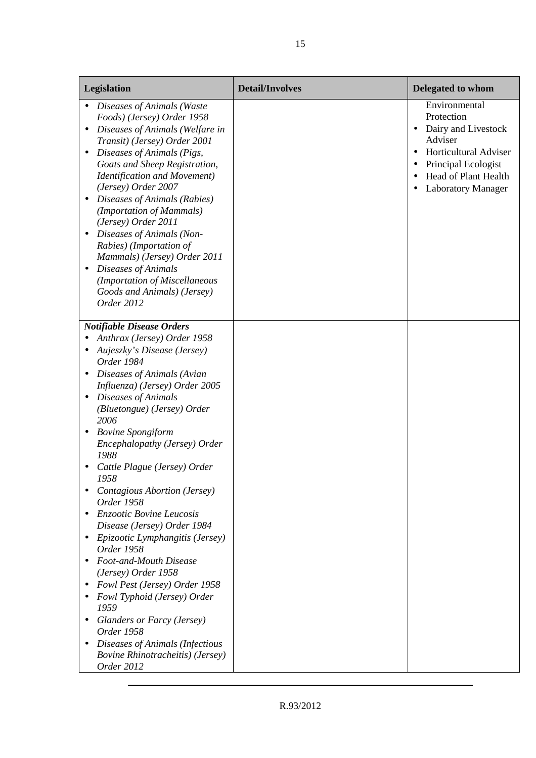| Legislation                                                                                                                                                                                                                                                                                                                                                                                                                                                                                                                                     | <b>Detail/Involves</b> | <b>Delegated to whom</b>                                                                                                                                                        |
|-------------------------------------------------------------------------------------------------------------------------------------------------------------------------------------------------------------------------------------------------------------------------------------------------------------------------------------------------------------------------------------------------------------------------------------------------------------------------------------------------------------------------------------------------|------------------------|---------------------------------------------------------------------------------------------------------------------------------------------------------------------------------|
| Diseases of Animals (Waste<br>Foods) (Jersey) Order 1958<br>Diseases of Animals (Welfare in<br>Transit) (Jersey) Order 2001<br>Diseases of Animals (Pigs,<br>Goats and Sheep Registration,<br><b>Identification and Movement)</b><br>(Jersey) Order 2007<br>Diseases of Animals (Rabies)<br>(Importation of Mammals)<br>(Jersey) Order 2011<br>Diseases of Animals (Non-<br>Rabies) (Importation of<br>Mammals) (Jersey) Order 2011<br><b>Diseases of Animals</b><br>(Importation of Miscellaneous<br>Goods and Animals) (Jersey)<br>Order 2012 |                        | Environmental<br>Protection<br>Dairy and Livestock<br>$\bullet$<br>Adviser<br>Horticultural Adviser<br>Principal Ecologist<br>Head of Plant Health<br><b>Laboratory Manager</b> |
| <b>Notifiable Disease Orders</b>                                                                                                                                                                                                                                                                                                                                                                                                                                                                                                                |                        |                                                                                                                                                                                 |
| Anthrax (Jersey) Order 1958<br>Aujeszky's Disease (Jersey)<br>Order 1984                                                                                                                                                                                                                                                                                                                                                                                                                                                                        |                        |                                                                                                                                                                                 |
| Diseases of Animals (Avian<br>Influenza) (Jersey) Order 2005<br>Diseases of Animals<br>(Bluetongue) (Jersey) Order<br>2006                                                                                                                                                                                                                                                                                                                                                                                                                      |                        |                                                                                                                                                                                 |
| <b>Bovine Spongiform</b><br>Encephalopathy (Jersey) Order<br>1988                                                                                                                                                                                                                                                                                                                                                                                                                                                                               |                        |                                                                                                                                                                                 |
| Cattle Plague (Jersey) Order<br>1958                                                                                                                                                                                                                                                                                                                                                                                                                                                                                                            |                        |                                                                                                                                                                                 |
| Contagious Abortion (Jersey)<br>Order 1958                                                                                                                                                                                                                                                                                                                                                                                                                                                                                                      |                        |                                                                                                                                                                                 |
| <b>Enzootic Bovine Leucosis</b><br>Disease (Jersey) Order 1984                                                                                                                                                                                                                                                                                                                                                                                                                                                                                  |                        |                                                                                                                                                                                 |
| Epizootic Lymphangitis (Jersey)<br>Order 1958                                                                                                                                                                                                                                                                                                                                                                                                                                                                                                   |                        |                                                                                                                                                                                 |
| Foot-and-Mouth Disease<br>(Jersey) Order 1958                                                                                                                                                                                                                                                                                                                                                                                                                                                                                                   |                        |                                                                                                                                                                                 |
| Fowl Pest (Jersey) Order 1958                                                                                                                                                                                                                                                                                                                                                                                                                                                                                                                   |                        |                                                                                                                                                                                 |
| Fowl Typhoid (Jersey) Order<br>1959                                                                                                                                                                                                                                                                                                                                                                                                                                                                                                             |                        |                                                                                                                                                                                 |
| <b>Glanders or Farcy (Jersey)</b><br>Order 1958                                                                                                                                                                                                                                                                                                                                                                                                                                                                                                 |                        |                                                                                                                                                                                 |
| Diseases of Animals (Infectious<br><b>Bovine Rhinotracheitis</b> ) (Jersey)<br>Order 2012                                                                                                                                                                                                                                                                                                                                                                                                                                                       |                        |                                                                                                                                                                                 |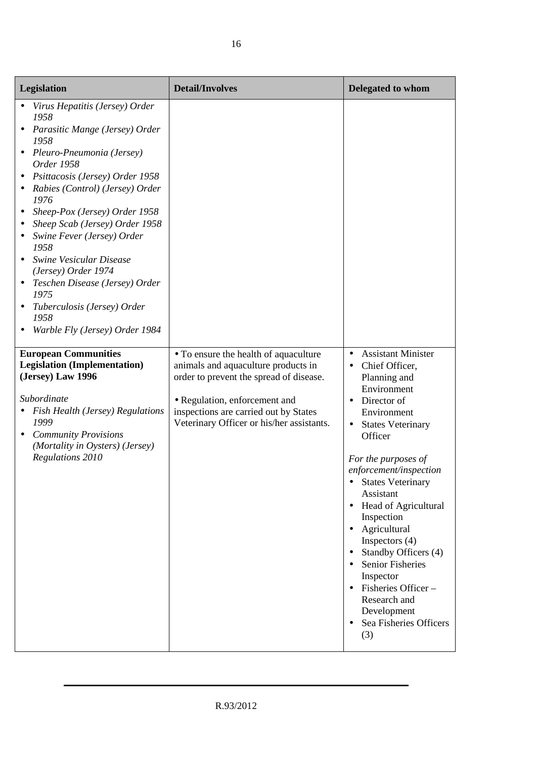| Legislation                                                                                                                                                                                                                                                                                                                                                                                                                                                                                                                                                                                                                                                                                                                                      | <b>Detail/Involves</b>                                                                                                                                                                                                                         | <b>Delegated to whom</b>                                                                                                                                                                                                                                                                                                                                                                                                                                                                                                                 |
|--------------------------------------------------------------------------------------------------------------------------------------------------------------------------------------------------------------------------------------------------------------------------------------------------------------------------------------------------------------------------------------------------------------------------------------------------------------------------------------------------------------------------------------------------------------------------------------------------------------------------------------------------------------------------------------------------------------------------------------------------|------------------------------------------------------------------------------------------------------------------------------------------------------------------------------------------------------------------------------------------------|------------------------------------------------------------------------------------------------------------------------------------------------------------------------------------------------------------------------------------------------------------------------------------------------------------------------------------------------------------------------------------------------------------------------------------------------------------------------------------------------------------------------------------------|
| Virus Hepatitis (Jersey) Order<br>1958<br>Parasitic Mange (Jersey) Order<br>1958<br>Pleuro-Pneumonia (Jersey)<br>Order 1958<br>Psittacosis (Jersey) Order 1958<br>Rabies (Control) (Jersey) Order<br>1976<br>Sheep-Pox (Jersey) Order 1958<br>Sheep Scab (Jersey) Order 1958<br>Swine Fever (Jersey) Order<br>1958<br>Swine Vesicular Disease<br>(Jersey) Order 1974<br>Teschen Disease (Jersey) Order<br>1975<br>Tuberculosis (Jersey) Order<br>1958<br>Warble Fly (Jersey) Order 1984<br><b>European Communities</b><br><b>Legislation (Implementation)</b><br>(Jersey) Law 1996<br>Subordinate<br>Fish Health (Jersey) Regulations<br>1999<br><b>Community Provisions</b><br>$\bullet$<br>(Mortality in Oysters) (Jersey)<br>Regulations 2010 | • To ensure the health of aquaculture<br>animals and aquaculture products in<br>order to prevent the spread of disease.<br>• Regulation, enforcement and<br>inspections are carried out by States<br>Veterinary Officer or his/her assistants. | <b>Assistant Minister</b><br>$\bullet$<br>Chief Officer,<br>$\bullet$<br>Planning and<br>Environment<br>Director of<br>Environment<br><b>States Veterinary</b><br>Officer<br>For the purposes of<br>enforcement/inspection<br><b>States Veterinary</b><br>Assistant<br>Head of Agricultural<br>$\bullet$<br>Inspection<br>Agricultural<br>Inspectors $(4)$<br>Standby Officers (4)<br><b>Senior Fisheries</b><br>$\bullet$<br>Inspector<br>$\bullet$ Fisheries Officer -<br>Research and<br>Development<br>Sea Fisheries Officers<br>(3) |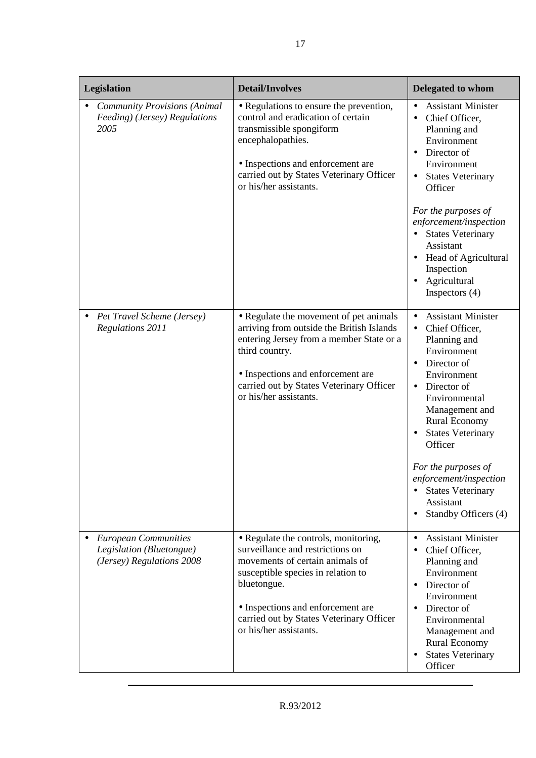| Legislation |                                                                                      | <b>Detail/Involves</b>                                                                                                                                                                                                                                                      | <b>Delegated to whom</b>                                                                                                                                                                                                                                                                                                                                                                 |
|-------------|--------------------------------------------------------------------------------------|-----------------------------------------------------------------------------------------------------------------------------------------------------------------------------------------------------------------------------------------------------------------------------|------------------------------------------------------------------------------------------------------------------------------------------------------------------------------------------------------------------------------------------------------------------------------------------------------------------------------------------------------------------------------------------|
|             | <b>Community Provisions (Animal</b><br>Feeding) (Jersey) Regulations<br>2005         | • Regulations to ensure the prevention,<br>control and eradication of certain<br>transmissible spongiform<br>encephalopathies.<br>• Inspections and enforcement are<br>carried out by States Veterinary Officer<br>or his/her assistants.                                   | <b>Assistant Minister</b><br>$\bullet$<br>Chief Officer,<br>$\bullet$<br>Planning and<br>Environment<br>Director of<br>$\bullet$<br>Environment<br><b>States Veterinary</b><br>$\bullet$<br>Officer<br>For the purposes of                                                                                                                                                               |
|             |                                                                                      |                                                                                                                                                                                                                                                                             | enforcement/inspection<br><b>States Veterinary</b><br>Assistant<br>Head of Agricultural<br>Inspection<br>Agricultural<br>Inspectors $(4)$                                                                                                                                                                                                                                                |
|             | Pet Travel Scheme (Jersey)<br><b>Regulations 2011</b>                                | • Regulate the movement of pet animals<br>arriving from outside the British Islands<br>entering Jersey from a member State or a<br>third country.<br>• Inspections and enforcement are<br>carried out by States Veterinary Officer<br>or his/her assistants.                | <b>Assistant Minister</b><br>$\bullet$<br>Chief Officer,<br>$\bullet$<br>Planning and<br>Environment<br>Director of<br>Environment<br>Director of<br>$\bullet$<br>Environmental<br>Management and<br>Rural Economy<br><b>States Veterinary</b><br>Officer<br>For the purposes of<br>enforcement/inspection<br><b>States Veterinary</b><br>Assistant<br>Standby Officers (4)<br>$\bullet$ |
|             | <b>European Communities</b><br>Legislation (Bluetongue)<br>(Jersey) Regulations 2008 | • Regulate the controls, monitoring,<br>surveillance and restrictions on<br>movements of certain animals of<br>susceptible species in relation to<br>bluetongue.<br>• Inspections and enforcement are<br>carried out by States Veterinary Officer<br>or his/her assistants. | <b>Assistant Minister</b><br>$\bullet$<br>Chief Officer,<br>Planning and<br>Environment<br>Director of<br>$\bullet$<br>Environment<br>Director of<br>$\bullet$<br>Environmental<br>Management and<br>Rural Economy<br><b>States Veterinary</b><br>Officer                                                                                                                                |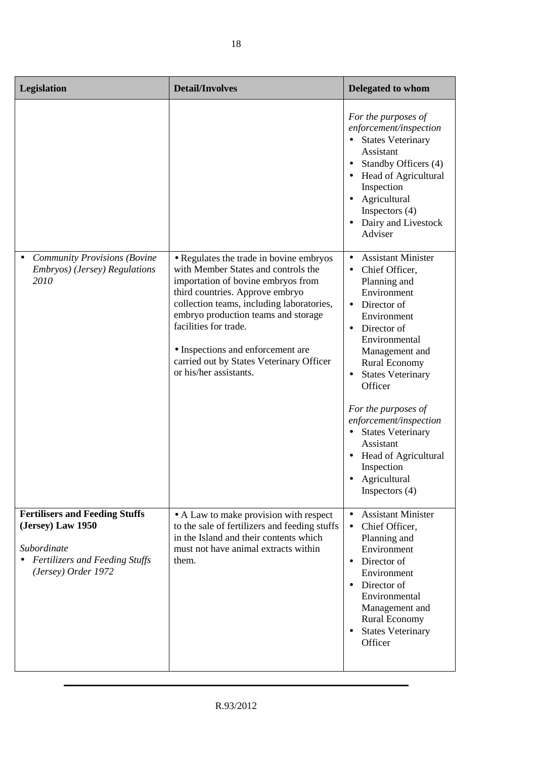| Legislation                                                                                                                               | <b>Detail/Involves</b>                                                                                                                                                                                                                                                                                                                                                          | <b>Delegated to whom</b>                                                                                                                                                                                                                                                                                                                                                                                                                                       |
|-------------------------------------------------------------------------------------------------------------------------------------------|---------------------------------------------------------------------------------------------------------------------------------------------------------------------------------------------------------------------------------------------------------------------------------------------------------------------------------------------------------------------------------|----------------------------------------------------------------------------------------------------------------------------------------------------------------------------------------------------------------------------------------------------------------------------------------------------------------------------------------------------------------------------------------------------------------------------------------------------------------|
|                                                                                                                                           |                                                                                                                                                                                                                                                                                                                                                                                 | For the purposes of<br>enforcement/inspection<br>• States Veterinary<br>Assistant<br>Standby Officers (4)<br>Head of Agricultural<br>Inspection<br>Agricultural<br>Inspectors $(4)$<br>Dairy and Livestock<br>Adviser                                                                                                                                                                                                                                          |
| <b>Community Provisions (Bovine</b><br>Embryos) (Jersey) Regulations<br>2010                                                              | • Regulates the trade in bovine embryos<br>with Member States and controls the<br>importation of bovine embryos from<br>third countries. Approve embryo<br>collection teams, including laboratories,<br>embryo production teams and storage<br>facilities for trade.<br>• Inspections and enforcement are<br>carried out by States Veterinary Officer<br>or his/her assistants. | <b>Assistant Minister</b><br>$\bullet$<br>Chief Officer,<br>Planning and<br>Environment<br>Director of<br>$\bullet$<br>Environment<br>Director of<br>$\bullet$<br>Environmental<br>Management and<br><b>Rural Economy</b><br><b>States Veterinary</b><br>$\bullet$<br>Officer<br>For the purposes of<br>enforcement/inspection<br><b>States Veterinary</b><br>Assistant<br>Head of Agricultural<br>$\bullet$<br>Inspection<br>Agricultural<br>Inspectors $(4)$ |
| <b>Fertilisers and Feeding Stuffs</b><br>(Jersey) Law 1950<br>Subordinate<br><b>Fertilizers and Feeding Stuffs</b><br>(Jersey) Order 1972 | • A Law to make provision with respect<br>to the sale of fertilizers and feeding stuffs<br>in the Island and their contents which<br>must not have animal extracts within<br>them.                                                                                                                                                                                              | <b>Assistant Minister</b><br>$\bullet$<br>Chief Officer,<br>$\bullet$<br>Planning and<br>Environment<br>Director of<br>Environment<br>Director of<br>Environmental<br>Management and<br><b>Rural Economy</b><br><b>States Veterinary</b><br>$\bullet$<br>Officer                                                                                                                                                                                               |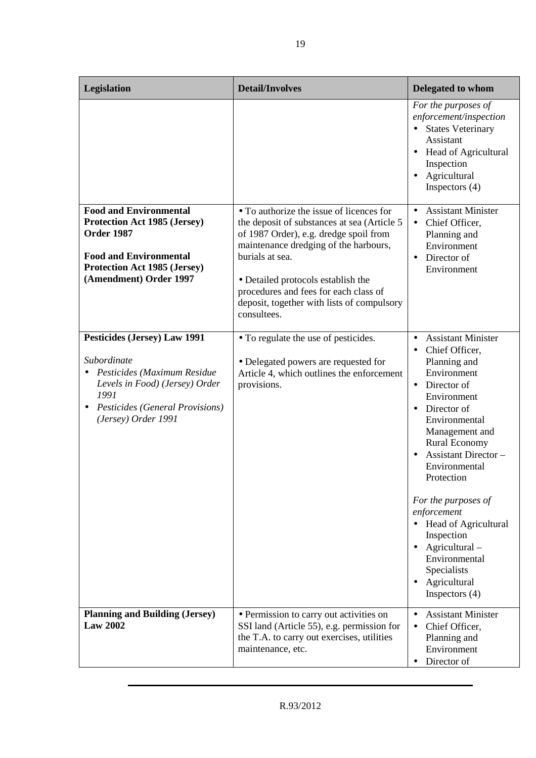| Legislation                                                                                                                                                                                 | <b>Detail/Involves</b>                                                                                                                                                                                                                                                                                                                     | <b>Delegated to whom</b>                                                                                                                                                                                                                                                                                                                                                                                                                                                |
|---------------------------------------------------------------------------------------------------------------------------------------------------------------------------------------------|--------------------------------------------------------------------------------------------------------------------------------------------------------------------------------------------------------------------------------------------------------------------------------------------------------------------------------------------|-------------------------------------------------------------------------------------------------------------------------------------------------------------------------------------------------------------------------------------------------------------------------------------------------------------------------------------------------------------------------------------------------------------------------------------------------------------------------|
|                                                                                                                                                                                             |                                                                                                                                                                                                                                                                                                                                            | For the purposes of<br>enforcement/inspection<br><b>States Veterinary</b><br>$\bullet$<br>Assistant<br>Head of Agricultural<br>Inspection<br>Agricultural<br>$\bullet$<br>Inspectors $(4)$                                                                                                                                                                                                                                                                              |
| <b>Food and Environmental</b><br><b>Protection Act 1985 (Jersey)</b><br><b>Order 1987</b><br><b>Food and Environmental</b><br><b>Protection Act 1985 (Jersey)</b><br>(Amendment) Order 1997 | • To authorize the issue of licences for<br>the deposit of substances at sea (Article 5)<br>of 1987 Order), e.g. dredge spoil from<br>maintenance dredging of the harbours,<br>burials at sea.<br>• Detailed protocols establish the<br>procedures and fees for each class of<br>deposit, together with lists of compulsory<br>consultees. | <b>Assistant Minister</b><br>$\bullet$<br>Chief Officer,<br>$\bullet$<br>Planning and<br>Environment<br>Director of<br>$\bullet$<br>Environment                                                                                                                                                                                                                                                                                                                         |
| <b>Pesticides (Jersey) Law 1991</b><br>Subordinate<br>Pesticides (Maximum Residue<br>Levels in Food) (Jersey) Order<br>1991<br>Pesticides (General Provisions)<br>(Jersey) Order 1991       | • To regulate the use of pesticides.<br>• Delegated powers are requested for<br>Article 4, which outlines the enforcement<br>provisions.                                                                                                                                                                                                   | <b>Assistant Minister</b><br>$\bullet$<br>Chief Officer,<br>$\bullet$<br>Planning and<br>Environment<br>Director of<br>$\bullet$<br>Environment<br>Director of<br>$\bullet$<br>Environmental<br>Management and<br><b>Rural Economy</b><br><b>Assistant Director -</b><br>Environmental<br>Protection<br>For the purposes of<br>enforcement<br>• Head of Agricultural<br>Inspection<br>Agricultural-<br>Environmental<br>Specialists<br>Agricultural<br>Inspectors $(4)$ |
| <b>Planning and Building (Jersey)</b><br><b>Law 2002</b>                                                                                                                                    | • Permission to carry out activities on<br>SSI land (Article 55), e.g. permission for<br>the T.A. to carry out exercises, utilities<br>maintenance, etc.                                                                                                                                                                                   | <b>Assistant Minister</b><br>$\bullet$<br>Chief Officer,<br>Planning and<br>Environment<br>Director of<br>$\bullet$                                                                                                                                                                                                                                                                                                                                                     |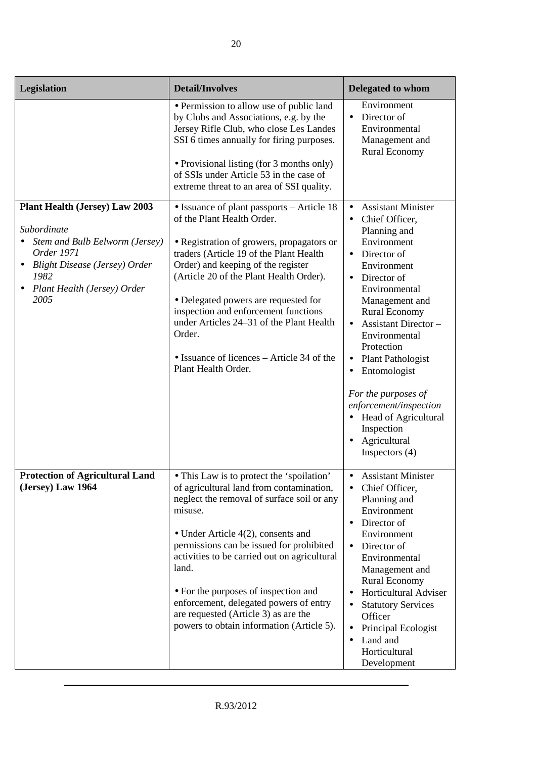| Legislation                                                                                                                                                                                 | <b>Detail/Involves</b>                                                                                                                                                                                                                                                                                                                                                                                                                                                   | <b>Delegated to whom</b>                                                                                                                                                                                                                                                                                                                                                                                                                                          |
|---------------------------------------------------------------------------------------------------------------------------------------------------------------------------------------------|--------------------------------------------------------------------------------------------------------------------------------------------------------------------------------------------------------------------------------------------------------------------------------------------------------------------------------------------------------------------------------------------------------------------------------------------------------------------------|-------------------------------------------------------------------------------------------------------------------------------------------------------------------------------------------------------------------------------------------------------------------------------------------------------------------------------------------------------------------------------------------------------------------------------------------------------------------|
|                                                                                                                                                                                             | • Permission to allow use of public land<br>by Clubs and Associations, e.g. by the<br>Jersey Rifle Club, who close Les Landes<br>SSI 6 times annually for firing purposes.<br>• Provisional listing (for 3 months only)<br>of SSIs under Article 53 in the case of<br>extreme threat to an area of SSI quality.                                                                                                                                                          | Environment<br>Director of<br>Environmental<br>Management and<br><b>Rural Economy</b>                                                                                                                                                                                                                                                                                                                                                                             |
| <b>Plant Health (Jersey) Law 2003</b><br>Subordinate<br>Stem and Bulb Eelworm (Jersey)<br>Order 1971<br><b>Blight Disease (Jersey) Order</b><br>1982<br>Plant Health (Jersey) Order<br>2005 | • Issuance of plant passports – Article 18<br>of the Plant Health Order.<br>• Registration of growers, propagators or<br>traders (Article 19 of the Plant Health<br>Order) and keeping of the register<br>(Article 20 of the Plant Health Order).<br>• Delegated powers are requested for<br>inspection and enforcement functions<br>under Articles 24–31 of the Plant Health<br>Order.<br>• Issuance of licences – Article 34 of the<br>Plant Health Order.             | <b>Assistant Minister</b><br>$\bullet$<br>Chief Officer,<br>Planning and<br>Environment<br>• Director of<br>Environment<br>Director of<br>Environmental<br>Management and<br><b>Rural Economy</b><br><b>Assistant Director -</b><br>$\bullet$<br>Environmental<br>Protection<br><b>Plant Pathologist</b><br>Entomologist<br>٠<br>For the purposes of<br>enforcement/inspection<br><b>Head of Agricultural</b><br>Inspection<br>• Agricultural<br>Inspectors $(4)$ |
| <b>Protection of Agricultural Land</b><br>(Jersey) Law 1964                                                                                                                                 | • This Law is to protect the 'spoilation'<br>of agricultural land from contamination,<br>neglect the removal of surface soil or any<br>misuse.<br>$\bullet$ Under Article 4(2), consents and<br>permissions can be issued for prohibited<br>activities to be carried out on agricultural<br>land.<br>• For the purposes of inspection and<br>enforcement, delegated powers of entry<br>are requested (Article 3) as are the<br>powers to obtain information (Article 5). | • Assistant Minister<br>Chief Officer,<br>Planning and<br>Environment<br>Director of<br>Environment<br>Director of<br>$\bullet$<br>Environmental<br>Management and<br><b>Rural Economy</b><br>Horticultural Adviser<br><b>Statutory Services</b><br>Officer<br>Principal Ecologist<br>Land and<br>$\bullet$<br>Horticultural<br>Development                                                                                                                       |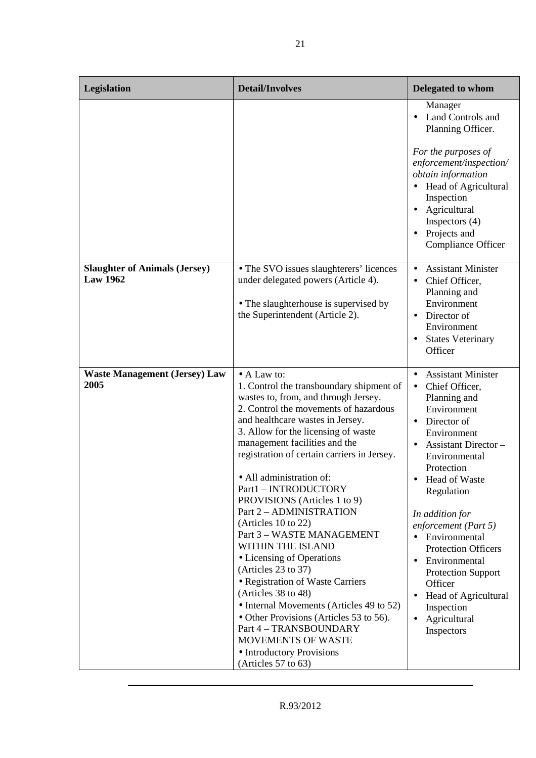| Legislation                                             | <b>Detail/Involves</b>                                                                                                                                                                                                                                                                                                                                                                                                                                                                                                                                                                                                                                                                                                                                                                                            | Delegated to whom                                                                                                                                                                                                                                                                                                                                                                                                                                                                                                         |
|---------------------------------------------------------|-------------------------------------------------------------------------------------------------------------------------------------------------------------------------------------------------------------------------------------------------------------------------------------------------------------------------------------------------------------------------------------------------------------------------------------------------------------------------------------------------------------------------------------------------------------------------------------------------------------------------------------------------------------------------------------------------------------------------------------------------------------------------------------------------------------------|---------------------------------------------------------------------------------------------------------------------------------------------------------------------------------------------------------------------------------------------------------------------------------------------------------------------------------------------------------------------------------------------------------------------------------------------------------------------------------------------------------------------------|
|                                                         |                                                                                                                                                                                                                                                                                                                                                                                                                                                                                                                                                                                                                                                                                                                                                                                                                   | Manager<br><b>Land Controls and</b><br>Planning Officer.<br>For the purposes of<br>enforcement/inspection/<br>obtain information<br>Head of Agricultural<br>Inspection<br>Agricultural<br>Inspectors $(4)$<br>Projects and<br><b>Compliance Officer</b>                                                                                                                                                                                                                                                                   |
| <b>Slaughter of Animals (Jersey)</b><br><b>Law 1962</b> | • The SVO issues slaughterers' licences<br>under delegated powers (Article 4).<br>• The slaughterhouse is supervised by<br>the Superintendent (Article 2).                                                                                                                                                                                                                                                                                                                                                                                                                                                                                                                                                                                                                                                        | <b>Assistant Minister</b><br>$\bullet$<br>Chief Officer,<br>$\bullet$<br>Planning and<br>Environment<br>Director of<br>$\bullet$<br>Environment<br><b>States Veterinary</b><br>Officer                                                                                                                                                                                                                                                                                                                                    |
| <b>Waste Management (Jersey) Law</b><br>2005            | • A Law to:<br>1. Control the transboundary shipment of<br>wastes to, from, and through Jersey.<br>2. Control the movements of hazardous<br>and healthcare wastes in Jersey.<br>3. Allow for the licensing of waste<br>management facilities and the<br>registration of certain carriers in Jersey.<br>• All administration of:<br>Part1 - INTRODUCTORY<br>PROVISIONS (Articles 1 to 9)<br>Part 2 - ADMINISTRATION<br>(Articles 10 to 22)<br>Part 3 - WASTE MANAGEMENT<br>WITHIN THE ISLAND<br>• Licensing of Operations<br>(Articles 23 to 37)<br>• Registration of Waste Carriers<br>(Articles 38 to 48)<br>• Internal Movements (Articles 49 to 52)<br>• Other Provisions (Articles 53 to 56).<br>Part 4 - TRANSBOUNDARY<br><b>MOVEMENTS OF WASTE</b><br>• Introductory Provisions<br>(Articles $57$ to $63$ ) | <b>Assistant Minister</b><br>$\bullet$<br>Chief Officer,<br>$\bullet$<br>Planning and<br>Environment<br>Director of<br>$\bullet$<br>Environment<br><b>Assistant Director -</b><br>$\bullet$<br>Environmental<br>Protection<br>Head of Waste<br>Regulation<br>In addition for<br>enforcement (Part 5)<br>• Environmental<br><b>Protection Officers</b><br>Environmental<br>$\bullet$<br><b>Protection Support</b><br>Officer<br>Head of Agricultural<br>$\bullet$<br>Inspection<br>Agricultural<br>$\bullet$<br>Inspectors |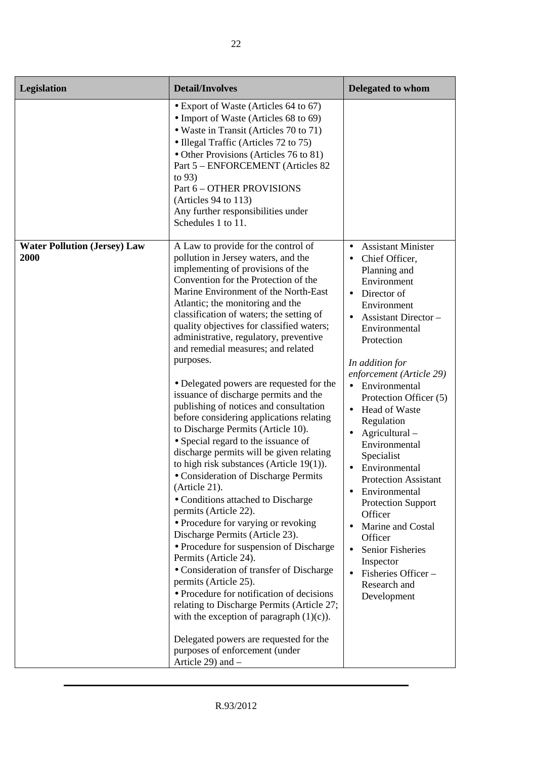| Legislation                                 | <b>Detail/Involves</b>                                                                                                                                                                                                                                                                                                                                                                                                                                                                                                                                                                                                                                                                                                                                                                                                                                                                                                                                                                                                                                                                                                                                                                                                                                                                                                                                          | <b>Delegated to whom</b>                                                                                                                                                                                                                                                                                                                                                                                                                                                                                                                                                                                                                  |
|---------------------------------------------|-----------------------------------------------------------------------------------------------------------------------------------------------------------------------------------------------------------------------------------------------------------------------------------------------------------------------------------------------------------------------------------------------------------------------------------------------------------------------------------------------------------------------------------------------------------------------------------------------------------------------------------------------------------------------------------------------------------------------------------------------------------------------------------------------------------------------------------------------------------------------------------------------------------------------------------------------------------------------------------------------------------------------------------------------------------------------------------------------------------------------------------------------------------------------------------------------------------------------------------------------------------------------------------------------------------------------------------------------------------------|-------------------------------------------------------------------------------------------------------------------------------------------------------------------------------------------------------------------------------------------------------------------------------------------------------------------------------------------------------------------------------------------------------------------------------------------------------------------------------------------------------------------------------------------------------------------------------------------------------------------------------------------|
|                                             | • Export of Waste (Articles 64 to 67)<br>• Import of Waste (Articles 68 to 69)<br>• Waste in Transit (Articles 70 to 71)<br>• Illegal Traffic (Articles 72 to 75)<br>• Other Provisions (Articles 76 to 81)<br>Part 5 – ENFORCEMENT (Articles 82<br>to $93)$<br>Part 6 - OTHER PROVISIONS<br>(Articles 94 to 113)<br>Any further responsibilities under<br>Schedules 1 to 11.                                                                                                                                                                                                                                                                                                                                                                                                                                                                                                                                                                                                                                                                                                                                                                                                                                                                                                                                                                                   |                                                                                                                                                                                                                                                                                                                                                                                                                                                                                                                                                                                                                                           |
| <b>Water Pollution (Jersey) Law</b><br>2000 | A Law to provide for the control of<br>pollution in Jersey waters, and the<br>implementing of provisions of the<br>Convention for the Protection of the<br>Marine Environment of the North-East<br>Atlantic; the monitoring and the<br>classification of waters; the setting of<br>quality objectives for classified waters;<br>administrative, regulatory, preventive<br>and remedial measures; and related<br>purposes.<br>• Delegated powers are requested for the<br>issuance of discharge permits and the<br>publishing of notices and consultation<br>before considering applications relating<br>to Discharge Permits (Article 10).<br>• Special regard to the issuance of<br>discharge permits will be given relating<br>to high risk substances (Article 19(1)).<br>· Consideration of Discharge Permits<br>(Article 21).<br>• Conditions attached to Discharge<br>permits (Article 22).<br>• Procedure for varying or revoking<br>Discharge Permits (Article 23).<br>• Procedure for suspension of Discharge<br>Permits (Article 24).<br>· Consideration of transfer of Discharge<br>permits (Article 25).<br>• Procedure for notification of decisions<br>relating to Discharge Permits (Article 27;<br>with the exception of paragraph $(1)(c)$ ).<br>Delegated powers are requested for the<br>purposes of enforcement (under<br>Article 29) and - | <b>Assistant Minister</b><br>$\bullet$<br>Chief Officer,<br>Planning and<br>Environment<br>Director of<br>$\bullet$<br>Environment<br>Assistant Director-<br>Environmental<br>Protection<br>In addition for<br>enforcement (Article 29)<br>Environmental<br>$\bullet$<br>Protection Officer (5)<br><b>Head of Waste</b><br>$\bullet$<br>Regulation<br>Agricultural -<br>Environmental<br>Specialist<br>Environmental<br><b>Protection Assistant</b><br>Environmental<br><b>Protection Support</b><br>Officer<br>Marine and Costal<br>Officer<br><b>Senior Fisheries</b><br>Inspector<br>Fisheries Officer-<br>Research and<br>Development |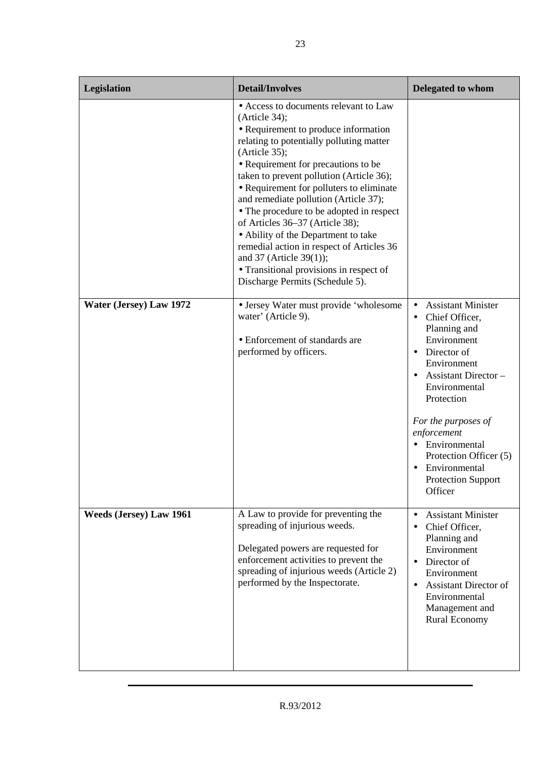| Legislation                    | <b>Detail/Involves</b>                                                                                                                                                                                                                                                                                                                                                                                                                                                                                                                                                                                               | <b>Delegated to whom</b>                                                                                                                                                                                                                                                                                                                   |
|--------------------------------|----------------------------------------------------------------------------------------------------------------------------------------------------------------------------------------------------------------------------------------------------------------------------------------------------------------------------------------------------------------------------------------------------------------------------------------------------------------------------------------------------------------------------------------------------------------------------------------------------------------------|--------------------------------------------------------------------------------------------------------------------------------------------------------------------------------------------------------------------------------------------------------------------------------------------------------------------------------------------|
|                                | • Access to documents relevant to Law<br>(Article 34);<br>• Requirement to produce information<br>relating to potentially polluting matter<br>(Article 35);<br>• Requirement for precautions to be<br>taken to prevent pollution (Article 36);<br>• Requirement for polluters to eliminate<br>and remediate pollution (Article 37);<br>• The procedure to be adopted in respect<br>of Articles 36-37 (Article 38);<br>• Ability of the Department to take<br>remedial action in respect of Articles 36<br>and $37$ (Article $39(1)$ );<br>• Transitional provisions in respect of<br>Discharge Permits (Schedule 5). |                                                                                                                                                                                                                                                                                                                                            |
| Water (Jersey) Law 1972        | • Jersey Water must provide 'wholesome<br>water' (Article 9).<br>• Enforcement of standards are<br>performed by officers.                                                                                                                                                                                                                                                                                                                                                                                                                                                                                            | <b>Assistant Minister</b><br>$\bullet$<br>Chief Officer,<br>Planning and<br>Environment<br>Director of<br>$\bullet$<br>Environment<br><b>Assistant Director -</b><br>Environmental<br>Protection<br>For the purposes of<br>enforcement<br>Environmental<br>Protection Officer (5)<br>Environmental<br><b>Protection Support</b><br>Officer |
| <b>Weeds (Jersey) Law 1961</b> | A Law to provide for preventing the<br>spreading of injurious weeds.<br>Delegated powers are requested for<br>enforcement activities to prevent the<br>spreading of injurious weeds (Article 2)<br>performed by the Inspectorate.                                                                                                                                                                                                                                                                                                                                                                                    | <b>Assistant Minister</b><br>$\bullet$<br>Chief Officer,<br>$\bullet$<br>Planning and<br>Environment<br>Director of<br>$\bullet$<br>Environment<br><b>Assistant Director of</b><br>$\bullet$<br>Environmental<br>Management and<br><b>Rural Economy</b>                                                                                    |